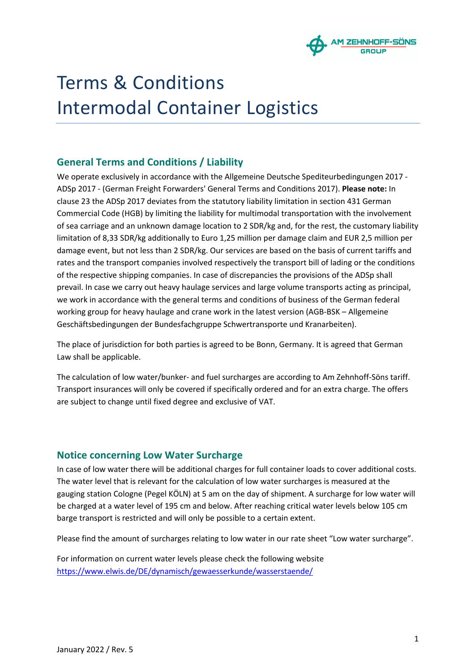

# Terms & Conditions Intermodal Container Logistics

## **General Terms and Conditions / Liability**

We operate exclusively in accordance with the Allgemeine Deutsche Spediteurbedingungen 2017 - ADSp 2017 - (German Freight Forwarders' General Terms and Conditions 2017). **Please note:** In clause 23 the ADSp 2017 deviates from the statutory liability limitation in section 431 German Commercial Code (HGB) by limiting the liability for multimodal transportation with the involvement of sea carriage and an unknown damage location to 2 SDR/kg and, for the rest, the customary liability limitation of 8,33 SDR/kg additionally to Euro 1,25 million per damage claim and EUR 2,5 million per damage event, but not less than 2 SDR/kg. Our services are based on the basis of current tariffs and rates and the transport companies involved respectively the transport bill of lading or the conditions of the respective shipping companies. In case of discrepancies the provisions of the ADSp shall prevail. In case we carry out heavy haulage services and large volume transports acting as principal, we work in accordance with the general terms and conditions of business of the German federal working group for heavy haulage and crane work in the latest version (AGB-BSK – Allgemeine Geschäftsbedingungen der Bundesfachgruppe Schwertransporte und Kranarbeiten).

The place of jurisdiction for both parties is agreed to be Bonn, Germany. It is agreed that German Law shall be applicable.

The calculation of low water/bunker- and fuel surcharges are according to Am Zehnhoff-Söns tariff. Transport insurances will only be covered if specifically ordered and for an extra charge. The offers are subject to change until fixed degree and exclusive of VAT.

## **Notice concerning Low Water Surcharge**

In case of low water there will be additional charges for full container loads to cover additional costs. The water level that is relevant for the calculation of low water surcharges is measured at the gauging station Cologne (Pegel KÖLN) at 5 am on the day of shipment. A surcharge for low water will be charged at a water level of 195 cm and below. After reaching critical water levels below 105 cm barge transport is restricted and will only be possible to a certain extent.

Please find the amount of surcharges relating to low water in our rate sheet "Low water surcharge".

For information on current water levels please check the following website https://www.elwis.de/DE/dynamisch/gewaesserkunde/wasserstaende/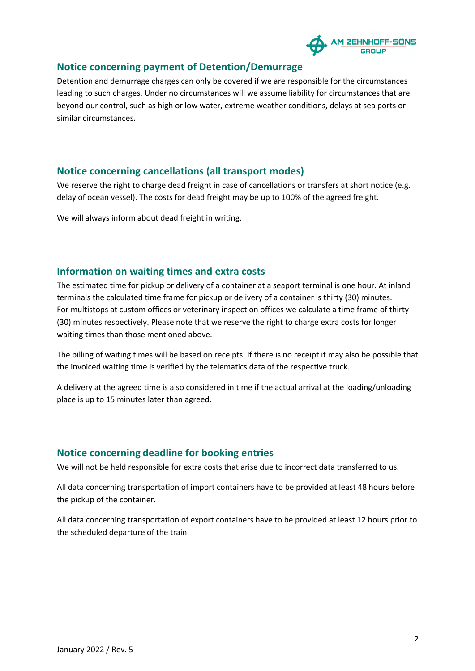

## **Notice concerning payment of Detention/Demurrage**

Detention and demurrage charges can only be covered if we are responsible for the circumstances leading to such charges. Under no circumstances will we assume liability for circumstances that are beyond our control, such as high or low water, extreme weather conditions, delays at sea ports or similar circumstances.

## **Notice concerning cancellations (all transport modes)**

We reserve the right to charge dead freight in case of cancellations or transfers at short notice (e.g. delay of ocean vessel). The costs for dead freight may be up to 100% of the agreed freight.

We will always inform about dead freight in writing.

## **Information on waiting times and extra costs**

The estimated time for pickup or delivery of a container at a seaport terminal is one hour. At inland terminals the calculated time frame for pickup or delivery of a container is thirty (30) minutes. For multistops at custom offices or veterinary inspection offices we calculate a time frame of thirty (30) minutes respectively. Please note that we reserve the right to charge extra costs for longer waiting times than those mentioned above.

The billing of waiting times will be based on receipts. If there is no receipt it may also be possible that the invoiced waiting time is verified by the telematics data of the respective truck.

A delivery at the agreed time is also considered in time if the actual arrival at the loading/unloading place is up to 15 minutes later than agreed.

#### **Notice concerning deadline for booking entries**

We will not be held responsible for extra costs that arise due to incorrect data transferred to us.

All data concerning transportation of import containers have to be provided at least 48 hours before the pickup of the container.

All data concerning transportation of export containers have to be provided at least 12 hours prior to the scheduled departure of the train.